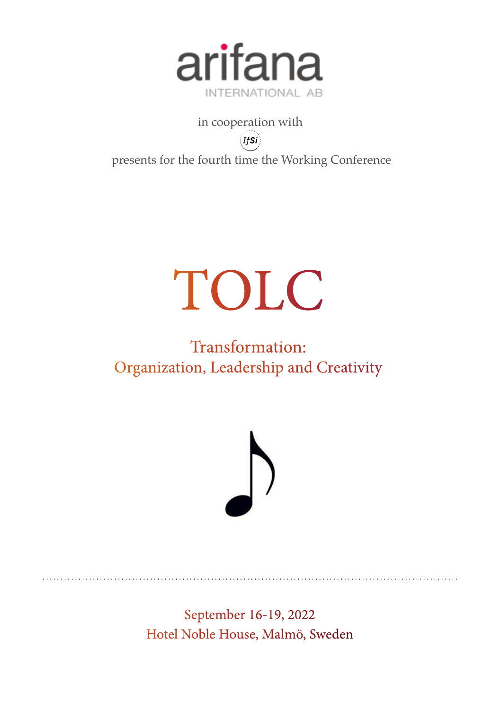

in cooperation with  $_{\left( Ifs\right) }$ presents for the fourth time the Working Conference

## TOLC

### Transformation: Organization, Leadership and Creativity



September 16-19, 2022 Hotel Noble House, Malmö, Sweden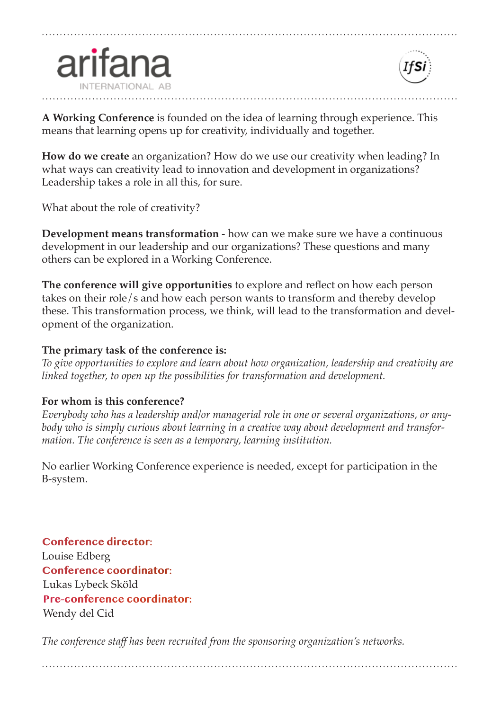



**A Working Conference** is founded on the idea of learning through experience. This means that learning opens up for creativity, individually and together.

**How do we create** an organization? How do we use our creativity when leading? In what ways can creativity lead to innovation and development in organizations? Leadership takes a role in all this, for sure.

What about the role of creativity?

**Development means transformation** - how can we make sure we have a continuous development in our leadership and our organizations? These questions and many others can be explored in a Working Conference.

**The conference will give opportunities** to explore and refect on how each person takes on their role/s and how each person wants to transform and thereby develop these. This transformation process, we think, will lead to the transformation and development of the organization.

#### **The primary task of the conference is:**

*To give opportunities to explore and learn about how organization, leadership and creativity are linked together, to open up the possibilities for transformation and development.*

#### **For whom is this conference?**

*Everybody who has a leadership and/or managerial role in one or several organizations, or anybody who is simply curious about learning in a creative way about development and transformation. The conference is seen as a temporary, learning institution.*

No earlier Working Conference experience is needed, except for participation in the B-system.

**Conference director:** Louise Edberg **Conference coordinator:** Lukas Lybeck Sköld **Pre-conference coordinator:** Wendy del Cid

*The conference staf has been recruited from the sponsoring organization's networks.*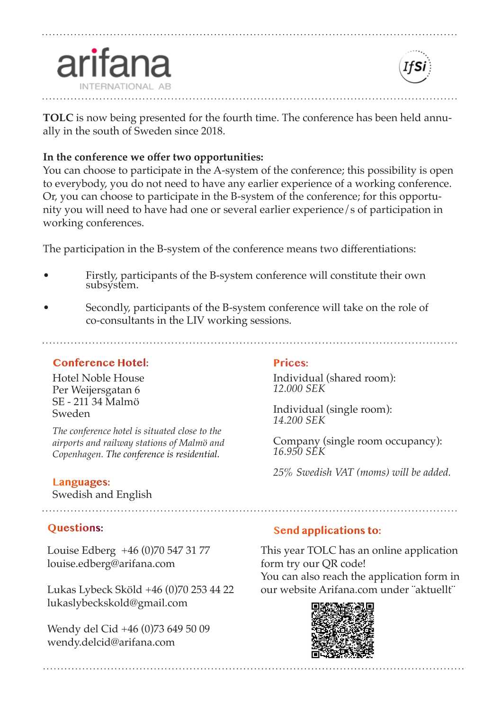

**TOLC** is now being presented for the fourth time. The conference has been held annually in the south of Sweden since 2018.

#### **In the conference we ofer two opportunities:**

You can choose to participate in the A-system of the conference; this possibility is open to everybody, you do not need to have any earlier experience of a working conference. Or, you can choose to participate in the B-system of the conference; for this opportunity you will need to have had one or several earlier experience/s of participation in working conferences.

The participation in the B-system of the conference means two diferentiations:

- Firstly, participants of the B-system conference will constitute their own subsystem.
- Secondly, participants of the B-system conference will take on the role of co-consultants in the LIV working sessions.

#### **Conference Hotel:**

arifar

Hotel Noble House Per Weijersgatan 6 SE - 211 34 Malmö Sweden

*The conference hotel is situated close to the airports and railway stations of Malmö and Copenhagen. The conference is residential.*

#### **Languages:**

Swedish and English

#### **Questions:**

Louise Edberg +46 (0)70 547 31 77 louise.edberg@arifana.com

Lukas Lybeck Sköld +46 (0)70 253 44 22 lukaslybeckskold@gmail.com

Wendy del Cid +46 (0)73 649 50 09 wendy.delcid@arifana.com

#### **Prices:**

<sup>I</sup>ndividual (shared room): *12.000 SEK* 

Individual (single room): *14.200 SEK* 

Company (single room occupancy): *16.950 SEK* 

*25% Swedish VAT (moms) will be added.*

#### **Send applications to:**

This year TOLC has an online application form try our QR code! You can also reach the application form in our website Arifana.com under ¨aktuellt¨

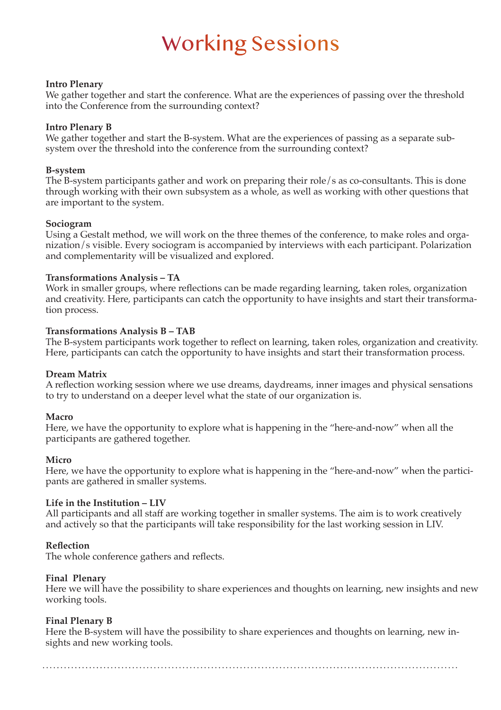### Working Sessions

#### **Intro Plenary**

We gather together and start the conference. What are the experiences of passing over the threshold into the Conference from the surrounding context?

#### **Intro Plenary B**

We gather together and start the B-system. What are the experiences of passing as a separate subsystem over the threshold into the conference from the surrounding context?

#### **B-system**

The B-system participants gather and work on preparing their role/s as co-consultants. This is done through working with their own subsystem as a whole, as well as working with other questions that are important to the system.

#### **Sociogram**

Using a Gestalt method, we will work on the three themes of the conference, to make roles and organization/s visible. Every sociogram is accompanied by interviews with each participant. Polarization and complementarity will be visualized and explored.

#### **Transformations Analysis – TA**

Work in smaller groups, where refections can be made regarding learning, taken roles, organization and creativity. Here, participants can catch the opportunity to have insights and start their transformation process.

#### **Transformations Analysis B – TAB**

The B-system participants work together to refect on learning, taken roles, organization and creativity. Here, participants can catch the opportunity to have insights and start their transformation process.

#### **Dream Matrix**

A refection working session where we use dreams, daydreams, inner images and physical sensations to try to understand on a deeper level what the state of our organization is.

#### **Macro**

Here, we have the opportunity to explore what is happening in the "here-and-now" when all the participants are gathered together.

#### **Micro**

Here, we have the opportunity to explore what is happening in the "here-and-now" when the participants are gathered in smaller systems.

#### **Life in the Institution – LIV**

All participants and all staff are working together in smaller systems. The aim is to work creatively and actively so that the participants will take responsibility for the last working session in LIV.

#### **Refection**

The whole conference gathers and refects.

#### **Final Plenary**

Here we will have the possibility to share experiences and thoughts on learning, new insights and new working tools.

#### **Final Plenary B**

Here the B-system will have the possibility to share experiences and thoughts on learning, new insights and new working tools.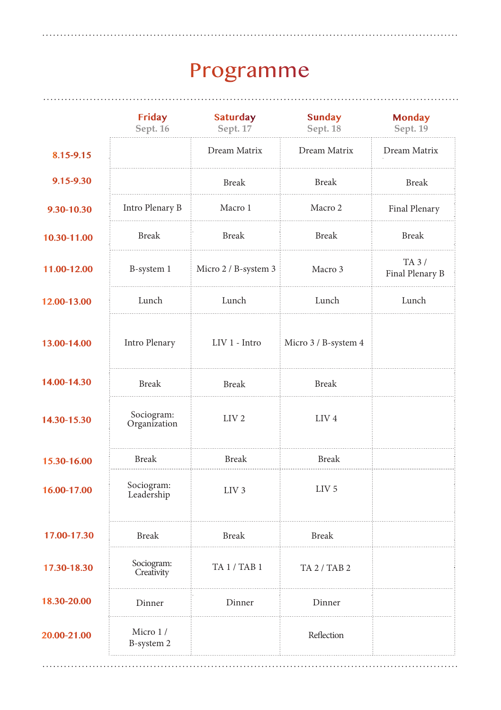## Programme

|             | <b>Friday</b><br>Sept. 16  | <b>Saturday</b><br>Sept. 17 | <b>Sunday</b><br>Sept. 18 | <b>Monday</b><br>Sept. 19 |
|-------------|----------------------------|-----------------------------|---------------------------|---------------------------|
| 8.15-9.15   |                            | Dream Matrix                | Dream Matrix              | Dream Matrix              |
| 9.15-9.30   |                            | <b>Break</b>                | <b>Break</b>              | <b>Break</b>              |
| 9.30-10.30  | Intro Plenary B            | Macro 1                     | Macro 2                   | Final Plenary             |
| 10.30-11.00 | <b>Break</b>               | <b>Break</b>                | <b>Break</b>              | Break                     |
| 11.00-12.00 | B-system 1                 | Micro $2/$ B-system 3       | Macro 3                   | TA 3 /<br>Final Plenary B |
| 12.00-13.00 | Lunch                      | Lunch                       | Lunch                     | Lunch                     |
| 13.00-14.00 | Intro Plenary              | LIV 1 - Intro               | Micro 3 / B-system 4      |                           |
| 14.00-14.30 | <b>Break</b>               | <b>Break</b>                | <b>Break</b>              |                           |
| 14.30-15.30 | Sociogram:<br>Organization | LIV <sub>2</sub>            | LIV <sub>4</sub>          |                           |
| 15.30-16.00 | <b>Break</b>               | <b>Break</b>                | <b>Break</b>              |                           |
| 16.00-17.00 | Sociogram:<br>Leadership   | LIV <sub>3</sub>            | LIV <sub>5</sub>          |                           |
| 17.00-17.30 | <b>Break</b>               | <b>Break</b>                | <b>Break</b>              |                           |
| 17.30-18.30 | Sociogram:<br>Creativity   | TA 1 / TAB 1                | TA 2 / TAB 2              |                           |
| 18.30-20.00 | Dinner                     | Dinner                      | Dinner                    |                           |
| 20.00-21.00 | Micro 1/<br>B-system 2     |                             | Reflection                |                           |

. . . . . . . . . .